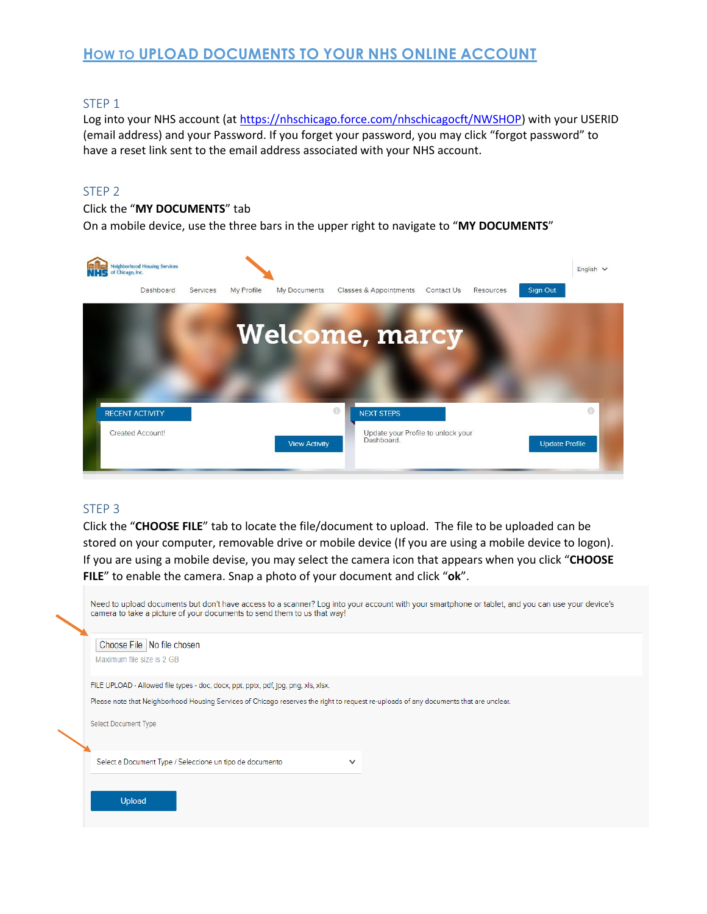## **HOW TO UPLOAD DOCUMENTS TO YOUR NHS ONLINE ACCOUNT**

#### STEP 1

Log into your NHS account (a[t https://nhschicago.force.com/nhschicagocft/NWSHOP\)](https://nhschicago.force.com/nhschicagocft/NWSHOP) with your USERID (email address) and your Password. If you forget your password, you may click "forgot password" to have a reset link sent to the email address associated with your NHS account.

#### STEP 2

#### Click the "**MY DOCUMENTS**" tab

On a mobile device, use the three bars in the upper right to navigate to "**MY DOCUMENTS**"



#### STEP 3

Click the "**CHOOSE FILE**" tab to locate the file/document to upload. The file to be uploaded can be stored on your computer, removable drive or mobile device (If you are using a mobile device to logon). If you are using a mobile devise, you may select the camera icon that appears when you click "**CHOOSE FILE**" to enable the camera. Snap a photo of your document and click "**ok**".

| Need to upload documents but don't have access to a scanner? Log into your account with your smartphone or tablet, and you can use your device's<br>camera to take a picture of your documents to send them to us that way! |
|-----------------------------------------------------------------------------------------------------------------------------------------------------------------------------------------------------------------------------|
| Choose File   No file chosen<br>Maximum file size is 2 GB                                                                                                                                                                   |
| FILE UPLOAD - Allowed file types - doc, docx, ppt, pptx, pdf, jpg, png, xls, xlsx.                                                                                                                                          |
| Please note that Neighborhood Housing Services of Chicago reserves the right to request re-uploads of any documents that are unclear.<br>Select Document Type                                                               |
| Select a Document Type / Seleccione un tipo de documento<br>$\checkmark$                                                                                                                                                    |
|                                                                                                                                                                                                                             |
| <b>Upload</b>                                                                                                                                                                                                               |